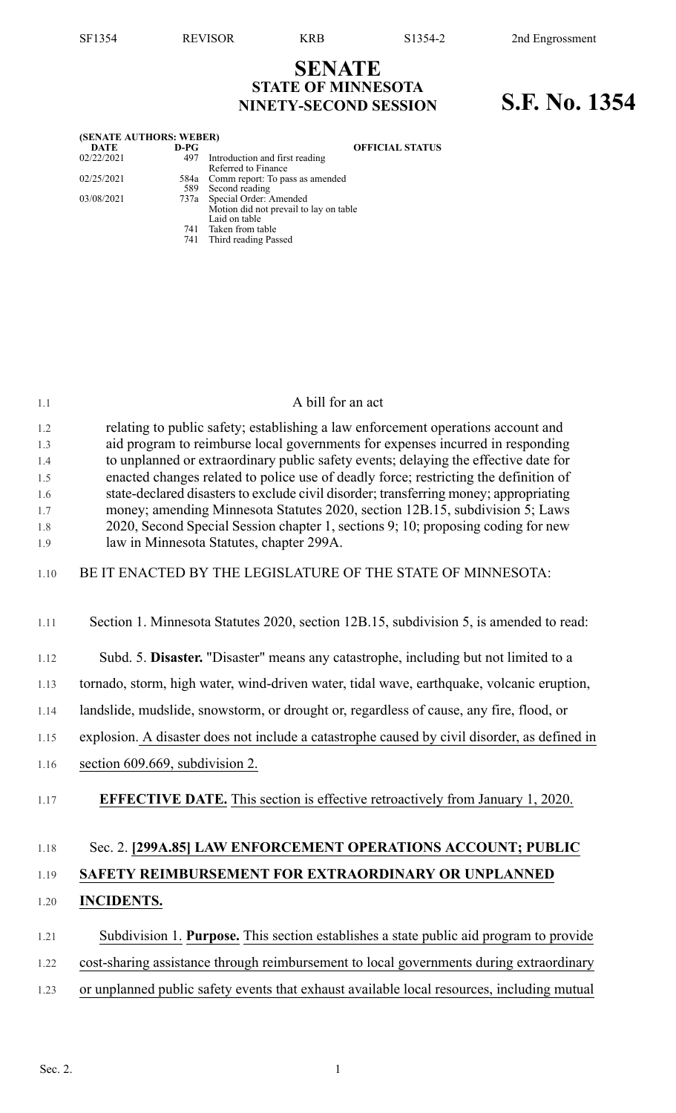## **SENATE STATE OF MINNESOTA NINETY-SECOND SESSION S.F. No. 1354**

| (SENATE AUTHORS: WEBER) |            |                                                                                        |
|-------------------------|------------|----------------------------------------------------------------------------------------|
| <b>DATE</b>             | $D-PG$     | <b>OFFICIAL STATUS</b>                                                                 |
| 02/22/2021              | 497        | Introduction and first reading<br>Referred to Finance                                  |
| 02/25/2021              | 589        | 584a Comm report: To pass as amended<br>Second reading                                 |
| 03/08/2021              |            | 737a Special Order: Amended<br>Motion did not prevail to lay on table<br>Laid on table |
|                         | 741<br>741 | Taken from table<br>Third reading Passed                                               |

| 1.1                                                  | A bill for an act                                                                                                                                                                                                                                                                                                                                                                                                                                                                                                                                                                                                                                          |
|------------------------------------------------------|------------------------------------------------------------------------------------------------------------------------------------------------------------------------------------------------------------------------------------------------------------------------------------------------------------------------------------------------------------------------------------------------------------------------------------------------------------------------------------------------------------------------------------------------------------------------------------------------------------------------------------------------------------|
| 1.2<br>1.3<br>1.4<br>1.5<br>1.6<br>1.7<br>1.8<br>1.9 | relating to public safety; establishing a law enforcement operations account and<br>aid program to reimburse local governments for expenses incurred in responding<br>to unplanned or extraordinary public safety events; delaying the effective date for<br>enacted changes related to police use of deadly force; restricting the definition of<br>state-declared disasters to exclude civil disorder; transferring money; appropriating<br>money; amending Minnesota Statutes 2020, section 12B.15, subdivision 5; Laws<br>2020, Second Special Session chapter 1, sections 9; 10; proposing coding for new<br>law in Minnesota Statutes, chapter 299A. |
| 1.10                                                 | BE IT ENACTED BY THE LEGISLATURE OF THE STATE OF MINNESOTA:                                                                                                                                                                                                                                                                                                                                                                                                                                                                                                                                                                                                |
| 1.11                                                 | Section 1. Minnesota Statutes 2020, section 12B.15, subdivision 5, is amended to read:                                                                                                                                                                                                                                                                                                                                                                                                                                                                                                                                                                     |
| 1.12                                                 | Subd. 5. Disaster. "Disaster" means any catastrophe, including but not limited to a                                                                                                                                                                                                                                                                                                                                                                                                                                                                                                                                                                        |
| 1.13                                                 | tornado, storm, high water, wind-driven water, tidal wave, earthquake, volcanic eruption,                                                                                                                                                                                                                                                                                                                                                                                                                                                                                                                                                                  |
| 1.14                                                 | landslide, mudslide, snowstorm, or drought or, regardless of cause, any fire, flood, or                                                                                                                                                                                                                                                                                                                                                                                                                                                                                                                                                                    |
| 1.15                                                 | explosion. A disaster does not include a catastrophe caused by civil disorder, as defined in                                                                                                                                                                                                                                                                                                                                                                                                                                                                                                                                                               |
| 1.16                                                 | section 609.669, subdivision 2.                                                                                                                                                                                                                                                                                                                                                                                                                                                                                                                                                                                                                            |
| 1.17                                                 | <b>EFFECTIVE DATE.</b> This section is effective retroactively from January 1, 2020.                                                                                                                                                                                                                                                                                                                                                                                                                                                                                                                                                                       |
| 1.18                                                 | Sec. 2. [299A.85] LAW ENFORCEMENT OPERATIONS ACCOUNT; PUBLIC                                                                                                                                                                                                                                                                                                                                                                                                                                                                                                                                                                                               |
| 1.19                                                 | SAFETY REIMBURSEMENT FOR EXTRAORDINARY OR UNPLANNED                                                                                                                                                                                                                                                                                                                                                                                                                                                                                                                                                                                                        |
| 1.20                                                 | <b>INCIDENTS.</b>                                                                                                                                                                                                                                                                                                                                                                                                                                                                                                                                                                                                                                          |
| 1.21                                                 | Subdivision 1. Purpose. This section establishes a state public aid program to provide                                                                                                                                                                                                                                                                                                                                                                                                                                                                                                                                                                     |
| 1.22                                                 | cost-sharing assistance through reimbursement to local governments during extraordinary                                                                                                                                                                                                                                                                                                                                                                                                                                                                                                                                                                    |
| 1.23                                                 | or unplanned public safety events that exhaust available local resources, including mutual                                                                                                                                                                                                                                                                                                                                                                                                                                                                                                                                                                 |
|                                                      |                                                                                                                                                                                                                                                                                                                                                                                                                                                                                                                                                                                                                                                            |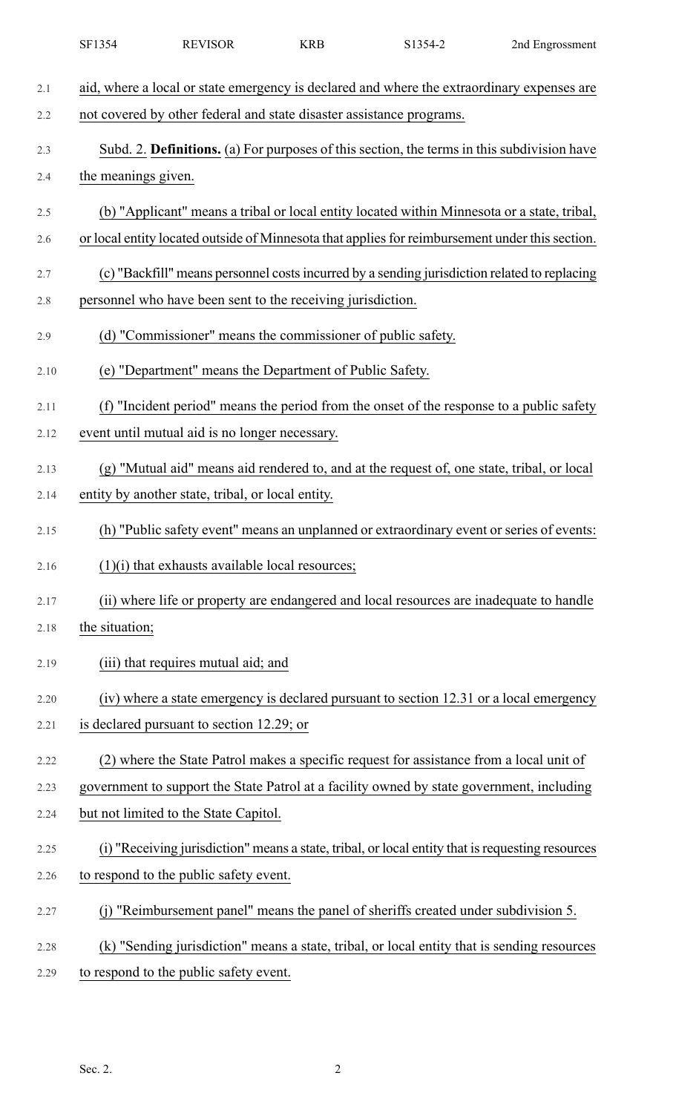| aid, where a local or state emergency is declared and where the extraordinary expenses are       |
|--------------------------------------------------------------------------------------------------|
|                                                                                                  |
| not covered by other federal and state disaster assistance programs.                             |
| Subd. 2. Definitions. (a) For purposes of this section, the terms in this subdivision have       |
| the meanings given.                                                                              |
| (b) "Applicant" means a tribal or local entity located within Minnesota or a state, tribal,      |
| or local entity located outside of Minnesota that applies for reimbursement under this section.  |
| (c) "Backfill" means personnel costs incurred by a sending jurisdiction related to replacing     |
| personnel who have been sent to the receiving jurisdiction.                                      |
| (d) "Commissioner" means the commissioner of public safety.                                      |
| (e) "Department" means the Department of Public Safety.                                          |
| (f) "Incident period" means the period from the onset of the response to a public safety         |
| event until mutual aid is no longer necessary.                                                   |
| (g) "Mutual aid" means aid rendered to, and at the request of, one state, tribal, or local       |
| entity by another state, tribal, or local entity.                                                |
| (h) "Public safety event" means an unplanned or extraordinary event or series of events:         |
| $(1)(i)$ that exhausts available local resources;                                                |
| (ii) where life or property are endangered and local resources are inadequate to handle          |
| the situation;                                                                                   |
| (iii) that requires mutual aid; and                                                              |
| (iv) where a state emergency is declared pursuant to section 12.31 or a local emergency          |
| is declared pursuant to section 12.29; or                                                        |
| (2) where the State Patrol makes a specific request for assistance from a local unit of          |
| government to support the State Patrol at a facility owned by state government, including        |
| but not limited to the State Capitol.                                                            |
| (i) "Receiving jurisdiction" means a state, tribal, or local entity that is requesting resources |
| to respond to the public safety event.                                                           |
| (j) "Reimbursement panel" means the panel of sheriffs created under subdivision 5.               |
| (k) "Sending jurisdiction" means a state, tribal, or local entity that is sending resources      |
| to respond to the public safety event.                                                           |
|                                                                                                  |

SF1354 REVISOR KRB S1354-2 2nd Engrossment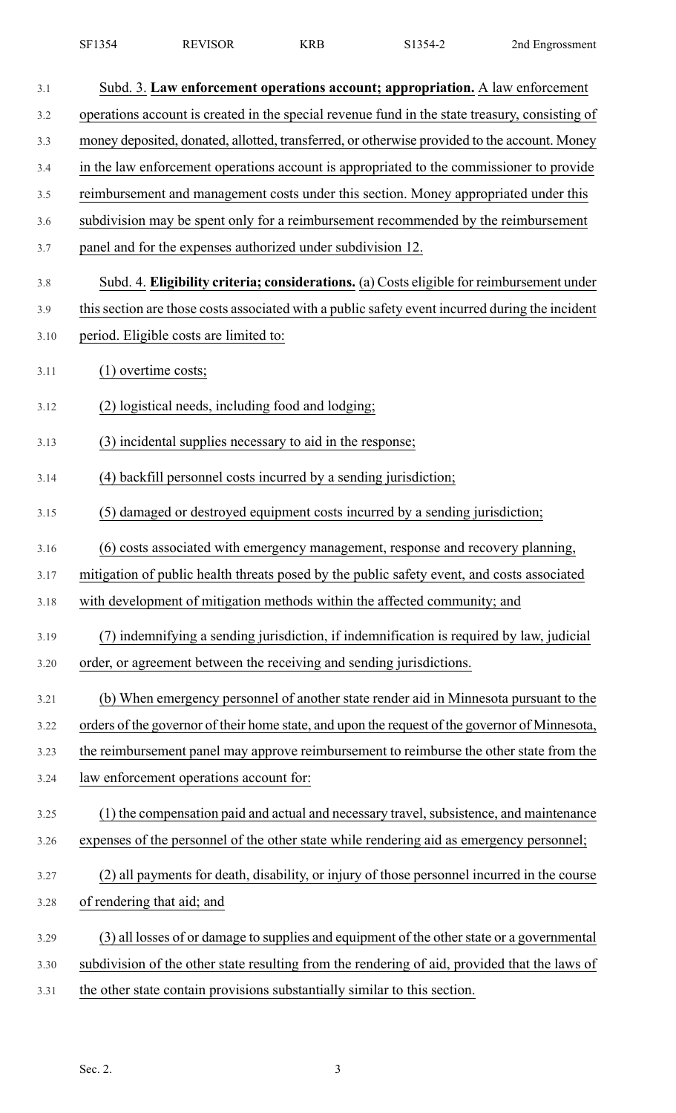| SF1354 | <b>REVISOR</b> | KRE | :1354-2 | 2nd Engrossment |
|--------|----------------|-----|---------|-----------------|
|--------|----------------|-----|---------|-----------------|

| 3.1  | Subd. 3. Law enforcement operations account; appropriation. A law enforcement                   |
|------|-------------------------------------------------------------------------------------------------|
| 3.2  | operations account is created in the special revenue fund in the state treasury, consisting of  |
| 3.3  | money deposited, donated, allotted, transferred, or otherwise provided to the account. Money    |
| 3.4  | in the law enforcement operations account is appropriated to the commissioner to provide        |
| 3.5  | reimbursement and management costs under this section. Money appropriated under this            |
| 3.6  | subdivision may be spent only for a reimbursement recommended by the reimbursement              |
| 3.7  | panel and for the expenses authorized under subdivision 12.                                     |
| 3.8  | Subd. 4. Eligibility criteria; considerations. (a) Costs eligible for reimbursement under       |
| 3.9  | this section are those costs associated with a public safety event incurred during the incident |
| 3.10 | period. Eligible costs are limited to:                                                          |
| 3.11 | $(1)$ overtime costs;                                                                           |
| 3.12 | (2) logistical needs, including food and lodging;                                               |
| 3.13 | (3) incidental supplies necessary to aid in the response;                                       |
| 3.14 | (4) backfill personnel costs incurred by a sending jurisdiction;                                |
| 3.15 | (5) damaged or destroyed equipment costs incurred by a sending jurisdiction;                    |
| 3.16 | (6) costs associated with emergency management, response and recovery planning,                 |
| 3.17 | mitigation of public health threats posed by the public safety event, and costs associated      |
| 3.18 | with development of mitigation methods within the affected community; and                       |
| 3.19 | (7) indemnifying a sending jurisdiction, if indemnification is required by law, judicial        |
| 3.20 | order, or agreement between the receiving and sending jurisdictions.                            |
| 3.21 | (b) When emergency personnel of another state render aid in Minnesota pursuant to the           |
| 3.22 | orders of the governor of their home state, and upon the request of the governor of Minnesota,  |
| 3.23 | the reimbursement panel may approve reimbursement to reimburse the other state from the         |
| 3.24 | law enforcement operations account for:                                                         |
| 3.25 | (1) the compensation paid and actual and necessary travel, subsistence, and maintenance         |
| 3.26 | expenses of the personnel of the other state while rendering aid as emergency personnel;        |
| 3.27 | (2) all payments for death, disability, or injury of those personnel incurred in the course     |
| 3.28 | of rendering that aid; and                                                                      |
| 3.29 | (3) all losses of or damage to supplies and equipment of the other state or a governmental      |
| 3.30 | subdivision of the other state resulting from the rendering of aid, provided that the laws of   |
| 3.31 | the other state contain provisions substantially similar to this section.                       |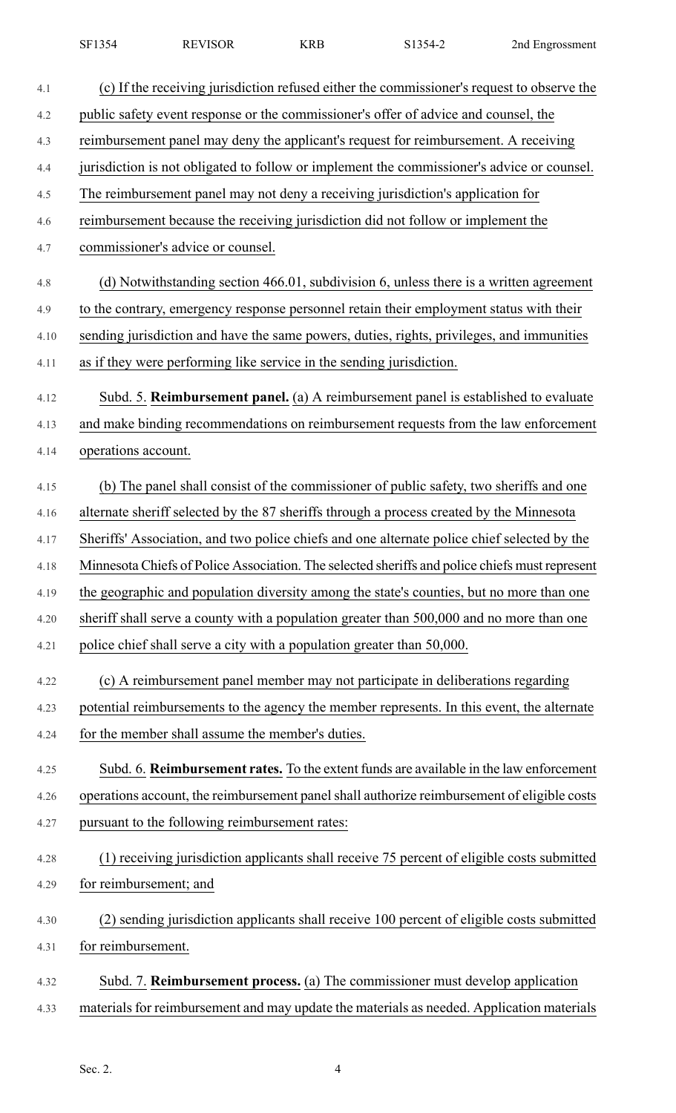| <b>SF1354</b><br>$  -$ | <b>REVISOR</b> | ZDE<br>. CLA | $1354 - 2$<br>ו ר | Znd Engrossment |
|------------------------|----------------|--------------|-------------------|-----------------|
|                        |                |              |                   |                 |

| 4.1  | (c) If the receiving jurisdiction refused either the commissioner's request to observe the     |
|------|------------------------------------------------------------------------------------------------|
| 4.2  | public safety event response or the commissioner's offer of advice and counsel, the            |
| 4.3  | reimbursement panel may deny the applicant's request for reimbursement. A receiving            |
| 4.4  | jurisdiction is not obligated to follow or implement the commissioner's advice or counsel.     |
| 4.5  | The reimbursement panel may not deny a receiving jurisdiction's application for                |
| 4.6  | reimbursement because the receiving jurisdiction did not follow or implement the               |
| 4.7  | commissioner's advice or counsel.                                                              |
| 4.8  | (d) Notwithstanding section 466.01, subdivision 6, unless there is a written agreement         |
| 4.9  | to the contrary, emergency response personnel retain their employment status with their        |
| 4.10 | sending jurisdiction and have the same powers, duties, rights, privileges, and immunities      |
| 4.11 | as if they were performing like service in the sending jurisdiction.                           |
| 4.12 | Subd. 5. Reimbursement panel. (a) A reimbursement panel is established to evaluate             |
| 4.13 | and make binding recommendations on reimbursement requests from the law enforcement            |
| 4.14 | operations account.                                                                            |
| 4.15 | (b) The panel shall consist of the commissioner of public safety, two sheriffs and one         |
| 4.16 | alternate sheriff selected by the 87 sheriffs through a process created by the Minnesota       |
| 4.17 | Sheriffs' Association, and two police chiefs and one alternate police chief selected by the    |
| 4.18 | Minnesota Chiefs of Police Association. The selected sheriffs and police chiefs must represent |
| 4.19 | the geographic and population diversity among the state's counties, but no more than one       |
| 4.20 | sheriff shall serve a county with a population greater than 500,000 and no more than one       |
| 4.21 | police chief shall serve a city with a population greater than 50,000.                         |
| 4.22 | (c) A reimbursement panel member may not participate in deliberations regarding                |
| 4.23 | potential reimbursements to the agency the member represents. In this event, the alternate     |
| 4.24 | for the member shall assume the member's duties.                                               |
| 4.25 | Subd. 6. Reimbursement rates. To the extent funds are available in the law enforcement         |
| 4.26 | operations account, the reimbursement panel shall authorize reimbursement of eligible costs    |
| 4.27 | pursuant to the following reimbursement rates:                                                 |
| 4.28 | (1) receiving jurisdiction applicants shall receive 75 percent of eligible costs submitted     |
| 4.29 | for reimbursement; and                                                                         |
| 4.30 | (2) sending jurisdiction applicants shall receive 100 percent of eligible costs submitted      |
| 4.31 | for reimbursement.                                                                             |
| 4.32 | Subd. 7. Reimbursement process. (a) The commissioner must develop application                  |
| 4.33 | materials for reimbursement and may update the materials as needed. Application materials      |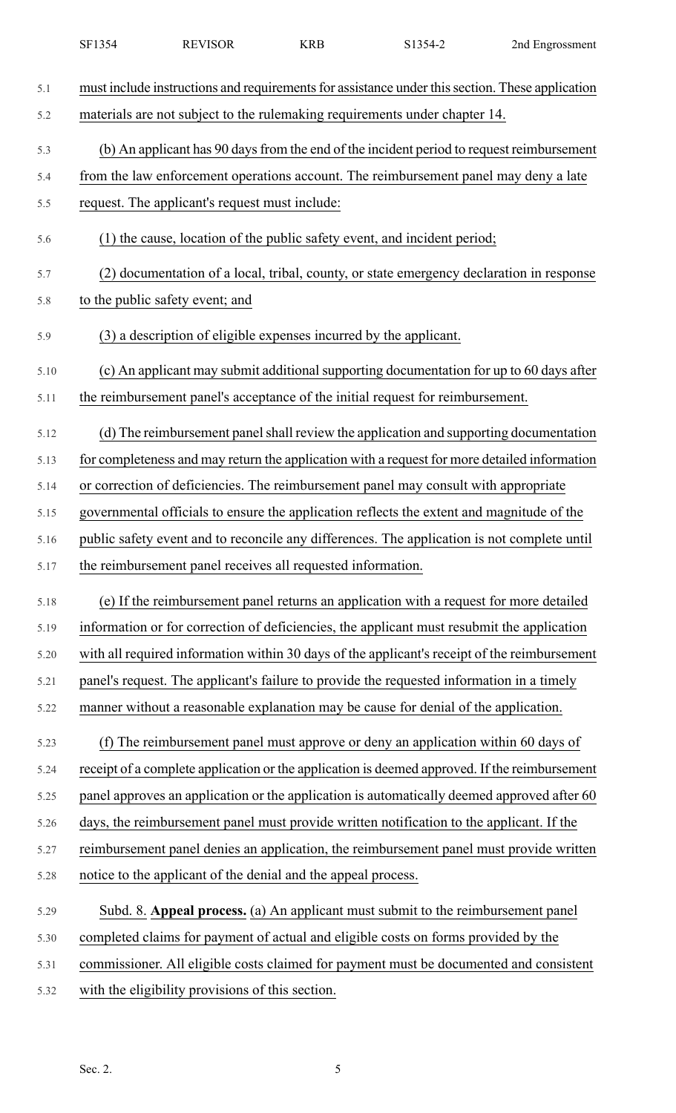| 5.1  | must include instructions and requirements for assistance under this section. These application |
|------|-------------------------------------------------------------------------------------------------|
| 5.2  | materials are not subject to the rulemaking requirements under chapter 14.                      |
| 5.3  | (b) An applicant has 90 days from the end of the incident period to request reimbursement       |
| 5.4  | from the law enforcement operations account. The reimbursement panel may deny a late            |
| 5.5  | request. The applicant's request must include:                                                  |
| 5.6  | (1) the cause, location of the public safety event, and incident period;                        |
| 5.7  | (2) documentation of a local, tribal, county, or state emergency declaration in response        |
| 5.8  | to the public safety event; and                                                                 |
| 5.9  | (3) a description of eligible expenses incurred by the applicant.                               |
| 5.10 | (c) An applicant may submit additional supporting documentation for up to 60 days after         |
| 5.11 | the reimbursement panel's acceptance of the initial request for reimbursement.                  |
| 5.12 | (d) The reimbursement panel shall review the application and supporting documentation           |
| 5.13 | for completeness and may return the application with a request for more detailed information    |
| 5.14 | or correction of deficiencies. The reimbursement panel may consult with appropriate             |
| 5.15 | governmental officials to ensure the application reflects the extent and magnitude of the       |
| 5.16 | public safety event and to reconcile any differences. The application is not complete until     |
| 5.17 | the reimbursement panel receives all requested information.                                     |
| 5.18 | (e) If the reimbursement panel returns an application with a request for more detailed          |
| 5.19 | information or for correction of deficiencies, the applicant must resubmit the application      |
| 5.20 | with all required information within 30 days of the applicant's receipt of the reimbursement    |
| 5.21 | panel's request. The applicant's failure to provide the requested information in a timely       |
| 5.22 | manner without a reasonable explanation may be cause for denial of the application.             |
| 5.23 | (f) The reimbursement panel must approve or deny an application within 60 days of               |
| 5.24 | receipt of a complete application or the application is deemed approved. If the reimbursement   |
| 5.25 | panel approves an application or the application is automatically deemed approved after 60      |
| 5.26 | days, the reimbursement panel must provide written notification to the applicant. If the        |
| 5.27 | reimbursement panel denies an application, the reimbursement panel must provide written         |
| 5.28 | notice to the applicant of the denial and the appeal process.                                   |
| 5.29 | Subd. 8. Appeal process. (a) An applicant must submit to the reimbursement panel                |
| 5.30 | completed claims for payment of actual and eligible costs on forms provided by the              |
| 5.31 | commissioner. All eligible costs claimed for payment must be documented and consistent          |
| 5.32 | with the eligibility provisions of this section.                                                |

SF1354 REVISOR KRB S1354-2 2nd Engrossment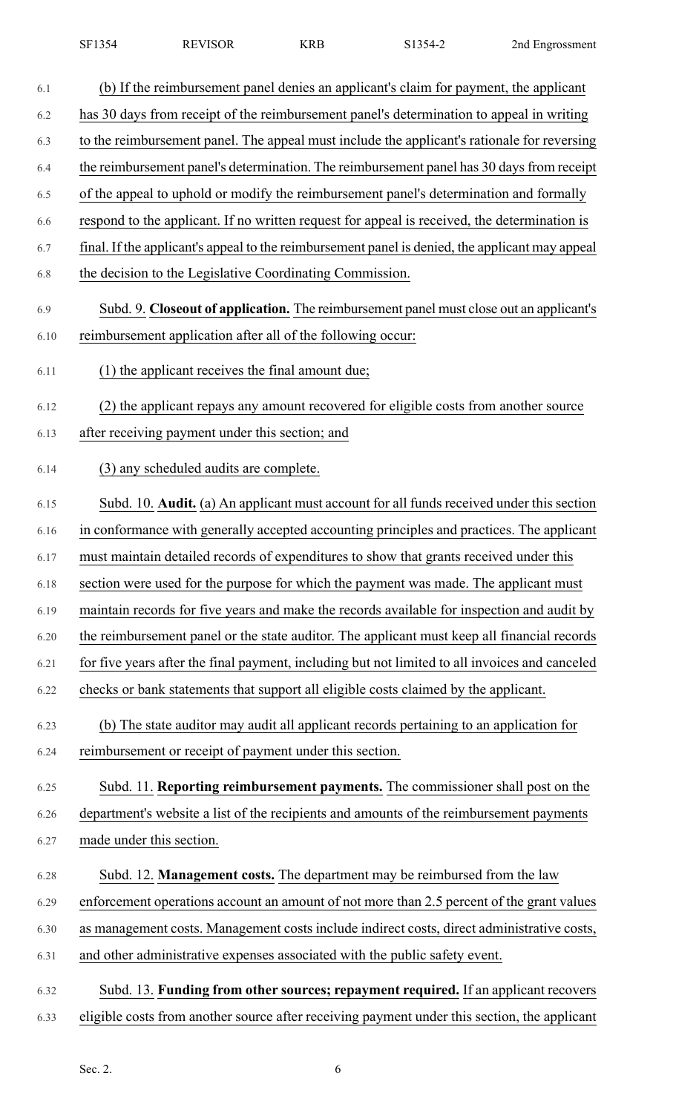| 6.1  | (b) If the reimbursement panel denies an applicant's claim for payment, the applicant           |
|------|-------------------------------------------------------------------------------------------------|
| 6.2  | has 30 days from receipt of the reimbursement panel's determination to appeal in writing        |
| 6.3  | to the reimbursement panel. The appeal must include the applicant's rationale for reversing     |
| 6.4  | the reimbursement panel's determination. The reimbursement panel has 30 days from receipt       |
| 6.5  | of the appeal to uphold or modify the reimbursement panel's determination and formally          |
| 6.6  | respond to the applicant. If no written request for appeal is received, the determination is    |
| 6.7  | final. If the applicant's appeal to the reimbursement panel is denied, the applicant may appeal |
| 6.8  | the decision to the Legislative Coordinating Commission.                                        |
| 6.9  | Subd. 9. Closeout of application. The reimbursement panel must close out an applicant's         |
| 6.10 | reimbursement application after all of the following occur:                                     |
| 6.11 | (1) the applicant receives the final amount due;                                                |
| 6.12 | (2) the applicant repays any amount recovered for eligible costs from another source            |
| 6.13 | after receiving payment under this section; and                                                 |
| 6.14 | (3) any scheduled audits are complete.                                                          |
| 6.15 | Subd. 10. Audit. (a) An applicant must account for all funds received under this section        |
| 6.16 | in conformance with generally accepted accounting principles and practices. The applicant       |
| 6.17 | must maintain detailed records of expenditures to show that grants received under this          |
| 6.18 | section were used for the purpose for which the payment was made. The applicant must            |
| 6.19 | maintain records for five years and make the records available for inspection and audit by      |
| 6.20 | the reimbursement panel or the state auditor. The applicant must keep all financial records     |
| 6.21 | for five years after the final payment, including but not limited to all invoices and canceled  |
| 6.22 | checks or bank statements that support all eligible costs claimed by the applicant.             |
| 6.23 | (b) The state auditor may audit all applicant records pertaining to an application for          |
| 6.24 | reimbursement or receipt of payment under this section.                                         |
| 6.25 | Subd. 11. Reporting reimbursement payments. The commissioner shall post on the                  |
| 6.26 | department's website a list of the recipients and amounts of the reimbursement payments         |
| 6.27 | made under this section.                                                                        |
| 6.28 | Subd. 12. Management costs. The department may be reimbursed from the law                       |
| 6.29 | enforcement operations account an amount of not more than 2.5 percent of the grant values       |
| 6.30 | as management costs. Management costs include indirect costs, direct administrative costs,      |
| 6.31 | and other administrative expenses associated with the public safety event.                      |
| 6.32 | Subd. 13. Funding from other sources; repayment required. If an applicant recovers              |
| 6.33 | eligible costs from another source after receiving payment under this section, the applicant    |